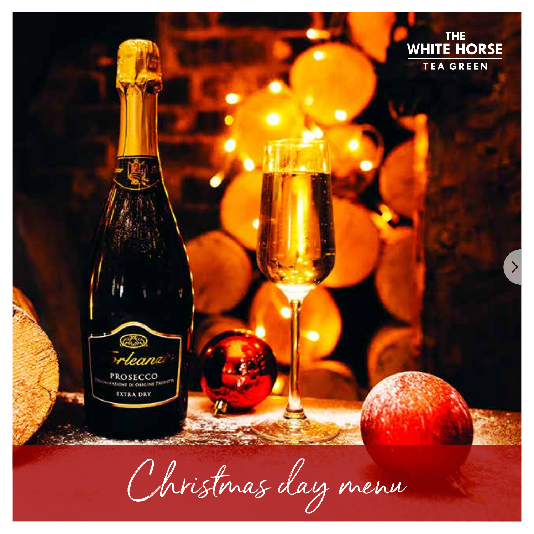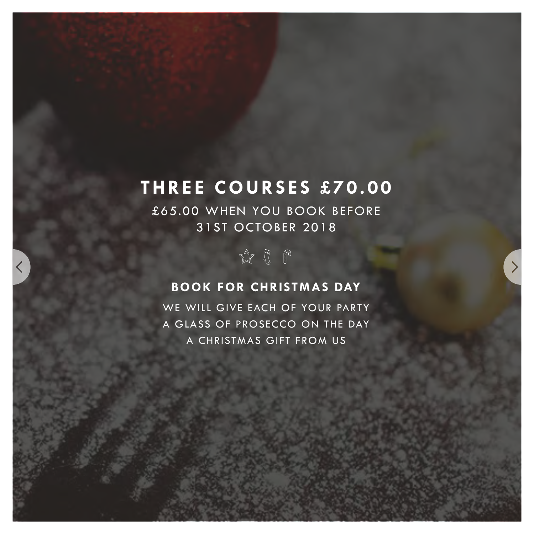# **THREE COURSES £70.00**

£65.00 WHEN YOU BOOK BEFORE 31ST OCTOBER 2018



### **BOOK FOR CHRISTMAS DAY**

WE WILL GIVE EACH OF YOUR PARTY A GLASS OF PROSECCO ON THE DAY A CHRISTMAS GIFT FROM US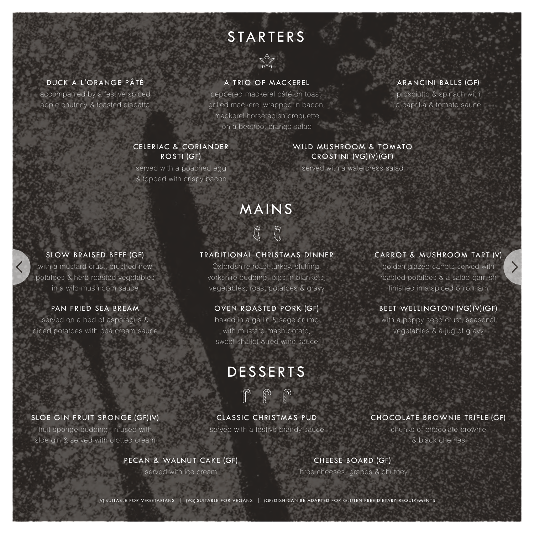# **STARTERS**



#### DUCK A L'ORANGE PÂTÉ

accompanied by a festive spiced apple chutney & toasted ciabatta

#### A TRIO OF MACKEREL

peppered mackerel pâté on toast, grilled mackerel wrapped in bacon, mackerel horseradish croquette on a beetroot orange salad

#### ARANCINI BALLS (GF)

prosciutto & spinach with a paprika & tomato sauce

#### CELERIAC & CORIANDER ROSTI (GF)

served with a poached egg & topped with crispy bacon

#### WILD MUSHROOM & TOMATO CROSTINI (VG)(V)(GF)

served with a watercress salad

## MAINS  $R$   $R$

#### SLOW BRAISED BEEF (GF)

with a mustard crust, crushed new potatoes & herb roasted vegetables in a wild mushroom sauce

served on a bed of asparagus & diced potatoes with pea cream sauce

#### TRADITIONAL CHRISTMAS DINNER

Oxfordshire roast turkey, stuffing, yorkshire pudding, pigs in blankets, vegetables, roast potatoes & gravy

#### PAN FRIED SEA BREAM OVEN ROASTED PORK (GF)

baked in a garlic & sage crumb with mustard mash potato, sweet shallot & red wine sauce

### DESSERTS

## $\omega$  to to

served with a festive brandy sauce CLASSIC CHRISTMAS PUD

#### PECAN & WALNUT CAKE (GF)

served with ice cream

#### CHOCOLATE BROWNIE TRIFLE (GF)

chunks of chocolate brownie & black cherries

### CHEESE BOARD (GF)

Three cheeses, grapes & chutney.

golden glazed carrots served with

roasted potatoes & a salad garnish finished in a spiced onion jam

CARROT & MUSHROOM TART (V[\)](#page-3-0)

### BEET WELLINGTON (VG)(V)(GF)

with a poppy seed crust, seasonal vegetables & a jug of gravy

(V) SUITABLE FOR VEGETARIANS | (VG) SUITABLE FOR VEGANS | (GF) DISH CAN BE ADAPTED FOR GLUTEN FREE DIETARY REQUIREMENTS



#### SLOE GIN FRUIT SPONGE (GF)(V)

fruit sponge pudding, infused with sloe gin & served with clotted cream